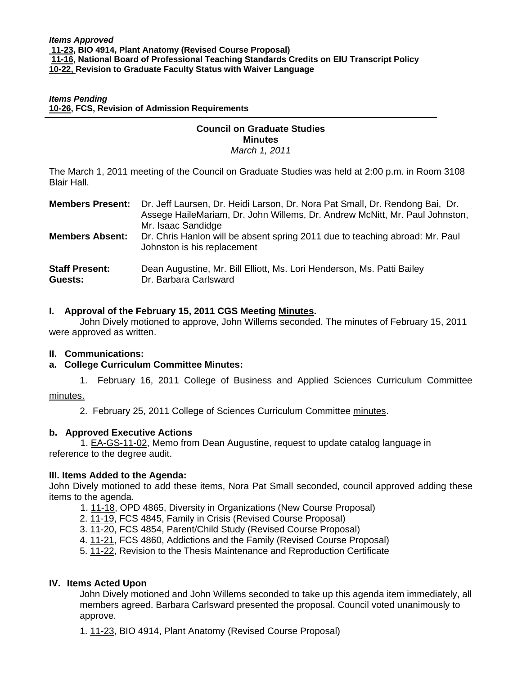*Items Pending* **[10-26, F](http://www.eiu.edu/~eiucgs/currentagendaitems/agenda10-26.pdf)CS, Revision of Admission Requirements**

#### **Council on Graduate Studies Minutes**

*March 1, 2011* 

The March 1, 2011 meeting of the Council on Graduate Studies was held at 2:00 p.m. in Room 3108 Blair Hall.

|                                  | <b>Members Present:</b> Dr. Jeff Laursen, Dr. Heidi Larson, Dr. Nora Pat Small, Dr. Rendong Bai, Dr.<br>Assege HaileMariam, Dr. John Willems, Dr. Andrew McNitt, Mr. Paul Johnston,<br>Mr. Isaac Sandidge |
|----------------------------------|-----------------------------------------------------------------------------------------------------------------------------------------------------------------------------------------------------------|
| <b>Members Absent:</b>           | Dr. Chris Hanlon will be absent spring 2011 due to teaching abroad: Mr. Paul<br>Johnston is his replacement                                                                                               |
| <b>Staff Present:</b><br>Guests: | Dean Augustine, Mr. Bill Elliott, Ms. Lori Henderson, Ms. Patti Bailey<br>Dr. Barbara Carlsward                                                                                                           |

## **I. Approval of the February 15, 2011 CGS Meeti[ng Minutes.](http://castle.eiu.edu/~eiucgs/currentminutes/Minutes2-15-11.pdf)**

 John Dively motioned to approve, John Willems seconded. The minutes of February 15, 2011 were approved as written.

## **II. Communications:**

#### **a. College Curriculum Committee Minutes:**

1. February 16, 2011 College of Business and Applied Sciences Curriculum Committee

## [minutes.](http://www.eiu.edu/~eiucgs/currentagendaitems/LCBASMin2-16-11.pdf)

j

2. February 25, 2011 College of Sciences Curriculum Committe[e minutes.](http://www.eiu.edu/~eiucgs/currentagendaitems/COSMin2-16-11.pdf) 

## **b. Approved Executive Actions**

 [1. EA-GS-11-02, Me](http://castle.eiu.edu/~eiucgs/exec-actions/EA-GS-11-02.pdf)mo from Dean Augustine, request to update catalog language in reference to the degree audit.

#### **III. Items Added to the Agenda:**

John Dively motioned to add these items, Nora Pat Small seconded, council approved adding these items to the agenda.

- [1. 11-18, O](http://www.eiu.edu/~eiucgs/currentagendaitems/agenda11-18.pdf)PD 4865, Diversity in Organizations (New Course Proposal)
- 2[. 11-19, F](http://www.eiu.edu/~eiucgs/currentagendaitems/agenda11-19.pdf)CS 4845, Family in Crisis (Revised Course Proposal)
- 3[. 11-20, F](http://www.eiu.edu/~eiucgs/currentagendaitems/agenda11-20.pdf)CS 4854, Parent/Child Study (Revised Course Proposal)
- 4[. 11-21, FC](http://www.eiu.edu/~eiucgs/currentagendaitems/agenda11-21.pdf)S 4860, Addictions and the Family (Revised Course Proposal)
- 5. [11-22, R](http://www.eiu.edu/~eiucgs/currentagendaitems/agenda11-22.pdf)evision to the Thesis Maintenance and Reproduction Certificate

#### **IV. Items Acted Upon**

John Dively motioned and John Willems seconded to take up this agenda item immediately, all members agreed. Barbara Carlsward presented the proposal. Council voted unanimously to approve.

[1. 11-23, B](http://www.eiu.edu/~eiucgs/currentagendaitems/agenda11-23.pdf)IO 4914, Plant Anatomy (Revised Course Proposal)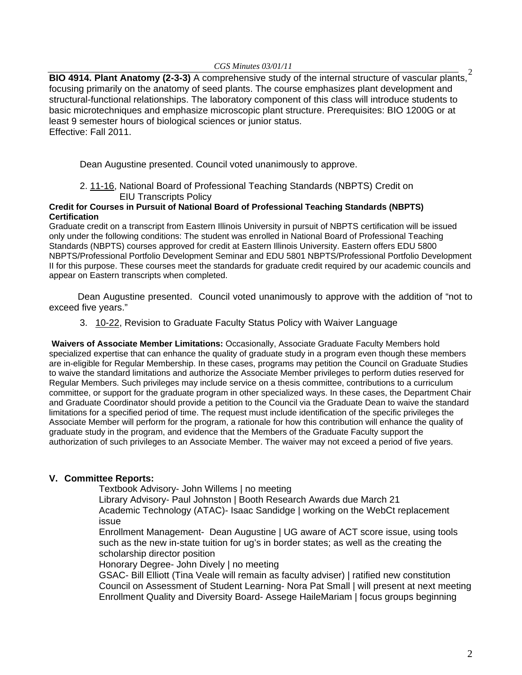*CGS Minutes 03/01/11* 

**BIO 4914. Plant Anatomy (2-3-3)** A comprehensive study of the internal structure of vascular plants,<sup>2</sup> focusing primarily on the anatomy of seed plants. The course emphasizes plant development and structural-functional relationships. The laboratory component of this class will introduce students to basic microtechniques and emphasize microscopic plant structure. Prerequisites: BIO 1200G or at least 9 semester hours of biological sciences or junior status. Effective: Fall 2011.

Dean Augustine presented. Council voted unanimously to approve.

 2[. 11-16, Na](http://www.eiu.edu/~eiucgs/currentagendaitems/agenda11-16.pdf)tional Board of Professional Teaching Standards (NBPTS) Credit on EIU Transcripts Policy

#### **Credit for Courses in Pursuit of National Board of Professional Teaching Standards (NBPTS) Certification**

Graduate credit on a transcript from Eastern Illinois University in pursuit of NBPTS certification will be issued only under the following conditions: The student was enrolled in National Board of Professional Teaching Standards (NBPTS) courses approved for credit at Eastern Illinois University. Eastern offers EDU 5800 NBPTS/Professional Portfolio Development Seminar and EDU 5801 NBPTS/Professional Portfolio Development II for this purpose. These courses meet the standards for graduate credit required by our academic councils and appear on Eastern transcripts when completed.

 Dean Augustine presented. Council voted unanimously to approve with the addition of "not to exceed five years."

3.[10-22, R](http://www.eiu.edu/~eiucgs/currentagendaitems/agenda10-22.pdf)evision to Graduate Faculty Status Policy with Waiver Language

**Waivers of Associate Member Limitations:** Occasionally, Associate Graduate Faculty Members hold specialized expertise that can enhance the quality of graduate study in a program even though these members are in-eligible for Regular Membership. In these cases, programs may petition the Council on Graduate Studies to waive the standard limitations and authorize the Associate Member privileges to perform duties reserved for Regular Members. Such privileges may include service on a thesis committee, contributions to a curriculum committee, or support for the graduate program in other specialized ways. In these cases, the Department Chair and Graduate Coordinator should provide a petition to the Council via the Graduate Dean to waive the standard limitations for a specified period of time. The request must include identification of the specific privileges the Associate Member will perform for the program, a rationale for how this contribution will enhance the quality of graduate study in the program, and evidence that the Members of the Graduate Faculty support the authorization of such privileges to an Associate Member. The waiver may not exceed a period of five years.

# **V. Committee Reports:**

Textbook Advisory- John Willems | no meeting

Library Advisory- Paul Johnston | Booth Research Awards due March 21 Academic Technology (ATAC)- Isaac Sandidge | working on the WebCt replacement issue

Enrollment Management- Dean Augustine | UG aware of ACT score issue, using tools such as the new in-state tuition for ug's in border states; as well as the creating the scholarship director position

Honorary Degree- John Dively | no meeting

GSAC- Bill Elliott (Tina Veale will remain as faculty adviser) | ratified new constitution Council on Assessment of Student Learning- Nora Pat Small | will present at next meeting Enrollment Quality and Diversity Board- Assege HaileMariam | focus groups beginning